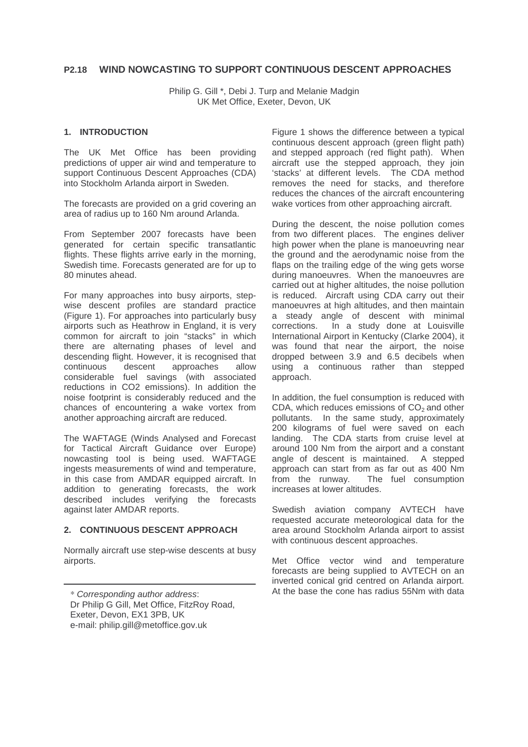# **P2.18 WIND NOWCASTING TO SUPPORT CONTINUOUS DESCENT APPROACHES**

Philip G. Gill \*, Debi J. Turp and Melanie Madgin UK Met Office, Exeter, Devon, UK

# **1. INTRODUCTION**

The UK Met Office has been providing predictions of upper air wind and temperature to support Continuous Descent Approaches (CDA) into Stockholm Arlanda airport in Sweden.

The forecasts are provided on a grid covering an area of radius up to 160 Nm around Arlanda.

From September 2007 forecasts have been generated for certain specific transatlantic flights. These flights arrive early in the morning, Swedish time. Forecasts generated are for up to 80 minutes ahead.

For many approaches into busy airports, stepwise descent profiles are standard practice (Figure 1). For approaches into particularly busy airports such as Heathrow in England, it is very common for aircraft to join "stacks" in which there are alternating phases of level and descending flight. However, it is recognised that<br>continuous descent approaches allow descent approaches allow considerable fuel savings (with associated reductions in CO2 emissions). In addition the noise footprint is considerably reduced and the chances of encountering a wake vortex from another approaching aircraft are reduced.

The WAFTAGE (Winds Analysed and Forecast for Tactical Aircraft Guidance over Europe) nowcasting tool is being used. WAFTAGE ingests measurements of wind and temperature, in this case from AMDAR equipped aircraft. In addition to generating forecasts, the work described includes verifying the forecasts against later AMDAR reports.

# **2. CONTINUOUS DESCENT APPROACH**

Normally aircraft use step-wise descents at busy airports.

Dr Philip G Gill, Met Office, FitzRoy Road, Exeter, Devon, EX1 3PB, UK e-mail: philip.gill@metoffice.gov.uk

Figure 1 shows the difference between a typical continuous descent approach (green flight path) and stepped approach (red flight path). When aircraft use the stepped approach, they join 'stacks' at different levels. The CDA method removes the need for stacks, and therefore reduces the chances of the aircraft encountering wake vortices from other approaching aircraft.

During the descent, the noise pollution comes from two different places. The engines deliver high power when the plane is manoeuvring near the ground and the aerodynamic noise from the flaps on the trailing edge of the wing gets worse during manoeuvres. When the manoeuvres are carried out at higher altitudes, the noise pollution is reduced. Aircraft using CDA carry out their manoeuvres at high altitudes, and then maintain a steady angle of descent with minimal corrections. In a study done at Louisville International Airport in Kentucky (Clarke 2004), it was found that near the airport, the noise dropped between 3.9 and 6.5 decibels when using a continuous rather than stepped approach.

In addition, the fuel consumption is reduced with CDA, which reduces emissions of  $CO<sub>2</sub>$  and other pollutants. In the same study, approximately 200 kilograms of fuel were saved on each landing. The CDA starts from cruise level at around 100 Nm from the airport and a constant angle of descent is maintained. A stepped approach can start from as far out as 400 Nm from the runway. The fuel consumption increases at lower altitudes.

Swedish aviation company AVTECH have requested accurate meteorological data for the area around Stockholm Arlanda airport to assist with continuous descent approaches.

Met Office vector wind and temperature forecasts are being supplied to AVTECH on an inverted conical grid centred on Arlanda airport. At the base the cone has radius 55Nm with data \* Corresponding author address: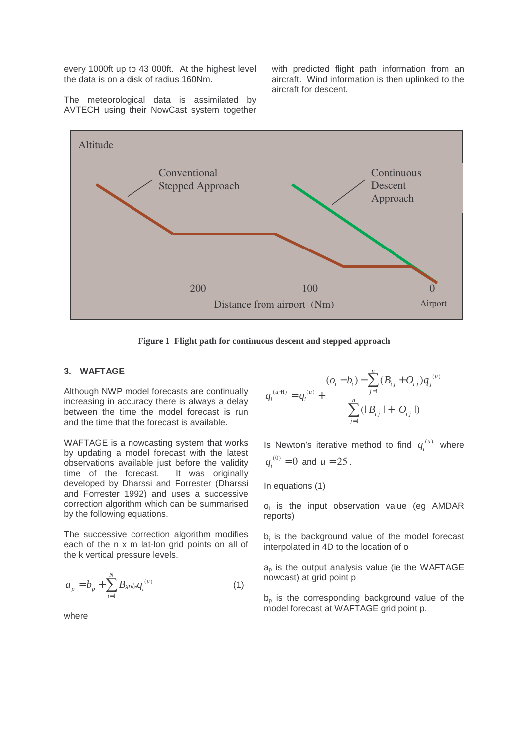every 1000ft up to 43 000ft. At the highest level the data is on a disk of radius 160Nm.

with predicted flight path information from an aircraft. Wind information is then uplinked to the aircraft for descent.

The meteorological data is assimilated by AVTECH using their NowCast system together



**Figure 1 Flight path for continuous descent and stepped approach**

#### **3. WAFTAGE**

Although NWP model forecasts are continually increasing in accuracy there is always a delay between the time the model forecast is run and the time that the forecast is available.

WAFTAGE is a nowcasting system that works by updating a model forecast with the latest observations available just before the validity time of the forecast. It was originally developed by Dharssi and Forrester (Dharssi and Forrester 1992) and uses a successive correction algorithm which can be summarised by the following equations.

The successive correction algorithm modifies each of the n x m lat-lon grid points on all of the k vertical pressure levels.

$$
a_p = b_p + \sum_{i=1}^{N} B_{\text{grad}p} q_i^{(u)}
$$
 (1)

where

$$
q_i^{(u+1)} = q_i^{(u)} + \frac{(o_i - b_i) - \sum_{j=1}^n (B_{ij} + O_{ij})q_j^{(u)}}{\sum_{j=1}^n (|B_{ij}| + |O_{ij}|)}
$$

Is Newton's iterative method to find  $q_i^{(u)}$  $q_i^{(u)}$  where  $q_i^{(0)} = 0$  and  $u = 25$ .

In equations (1)

o<sub>i</sub> is the input observation value (eg AMDAR reports)

b<sub>i</sub> is the background value of the model forecast interpolated in 4D to the location of  $o_i$ 

 $a<sub>p</sub>$  is the output analysis value (ie the WAFTAGE nowcast) at grid point p

 $b<sub>p</sub>$  is the corresponding background value of the model forecast at WAFTAGE grid point p.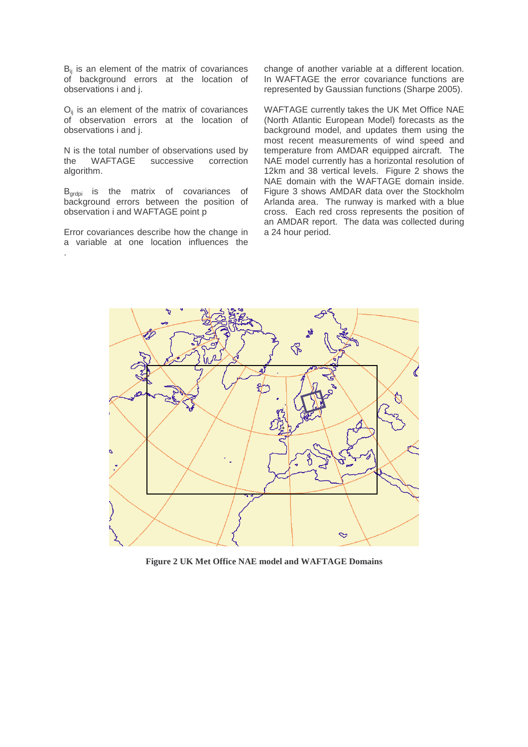B<sub>ij</sub> is an element of the matrix of covariances of background errors at the location of observations i and j.

 $O_{ij}$  is an element of the matrix of covariances of observation errors at the location of observations i and j.

N is the total number of observations used by<br>the WAFTAGE successive correction the WAFTAGE successive correction algorithm.

B<sub>grdpi</sub> is the matrix of covariances of background errors between the position of observation i and WAFTAGE point p

Error covariances describe how the change in a variable at one location influences the .

change of another variable at a different location. In WAFTAGE the error covariance functions are represented by Gaussian functions (Sharpe 2005).

WAFTAGE currently takes the UK Met Office NAE (North Atlantic European Model) forecasts as the background model, and updates them using the most recent measurements of wind speed and temperature from AMDAR equipped aircraft. The NAE model currently has a horizontal resolution of 12km and 38 vertical levels. Figure 2 shows the NAE domain with the WAFTAGE domain inside. Figure 3 shows AMDAR data over the Stockholm Arlanda area. The runway is marked with a blue cross. Each red cross represents the position of an AMDAR report. The data was collected during a 24 hour period.



**Figure 2 UK Met Office NAE model and WAFTAGE Domains**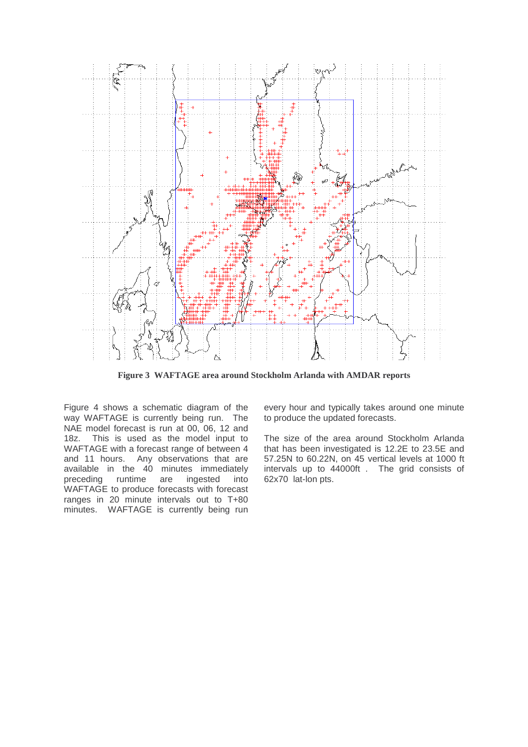

**Figure 3 WAFTAGE area around Stockholm Arlanda with AMDAR reports**

Figure 4 shows a schematic diagram of the way WAFTAGE is currently being run. The NAE model forecast is run at 00, 06, 12 and 18z. This is used as the model input to WAFTAGE with a forecast range of between 4 and 11 hours. Any observations that are available in the 40 minutes immediately preceding runtime are ingested into WAFTAGE to produce forecasts with forecast ranges in 20 minute intervals out to T+80 minutes. WAFTAGE is currently being run

every hour and typically takes around one minute to produce the updated forecasts.

The size of the area around Stockholm Arlanda that has been investigated is 12.2E to 23.5E and 57.25N to 60.22N, on 45 vertical levels at 1000 ft intervals up to 44000ft . The grid consists of 62x70 lat-lon pts.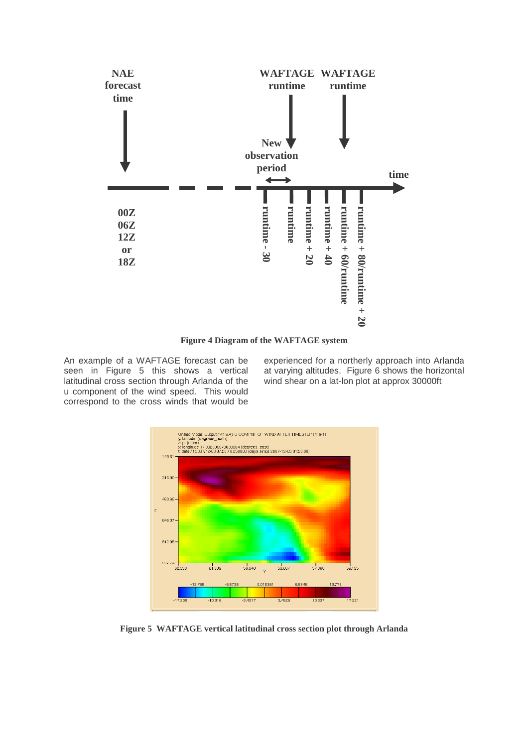

**Figure 4 Diagram of the WAFTAGE system**

An example of a WAFTAGE forecast can be seen in Figure 5 this shows a vertical latitudinal cross section through Arlanda of the u component of the wind speed. This would correspond to the cross winds that would be experienced for a northerly approach into Arlanda at varying altitudes. Figure 6 shows the horizontal wind shear on a lat-lon plot at approx 30000ft



**Figure 5 WAFTAGE vertical latitudinal cross section plot through Arlanda**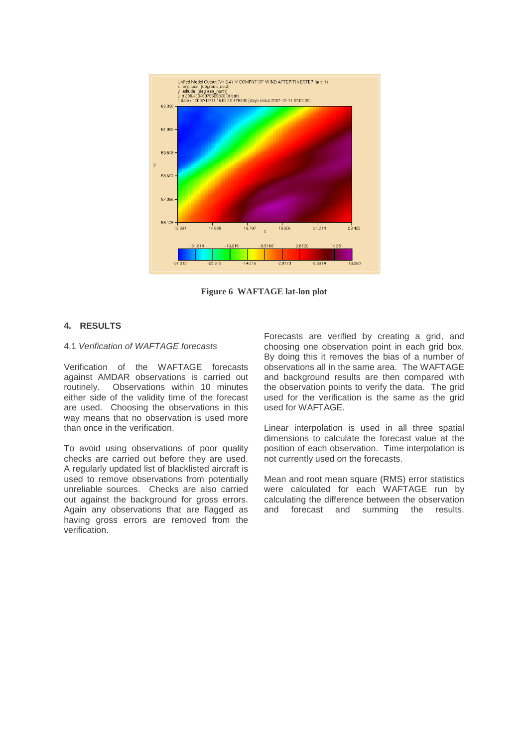

**Figure 6 WAFTAGE lat-lon plot**

## **4. RESULTS**

#### 4.1 Verification of WAFTAGE forecasts

Verification of the WAFTAGE forecasts against AMDAR observations is carried out routinely. Observations within 10 minutes either side of the validity time of the forecast are used. Choosing the observations in this way means that no observation is used more than once in the verification.

To avoid using observations of poor quality checks are carried out before they are used. A regularly updated list of blacklisted aircraft is used to remove observations from potentially unreliable sources. Checks are also carried out against the background for gross errors. Again any observations that are flagged as having gross errors are removed from the verification.

Forecasts are verified by creating a grid, and choosing one observation point in each grid box. By doing this it removes the bias of a number of observations all in the same area. The WAFTAGE and background results are then compared with the observation points to verify the data. The grid used for the verification is the same as the grid used for WAFTAGE.

Linear interpolation is used in all three spatial dimensions to calculate the forecast value at the position of each observation. Time interpolation is not currently used on the forecasts.

Mean and root mean square (RMS) error statistics were calculated for each WAFTAGE run by calculating the difference between the observation and forecast and summing the results.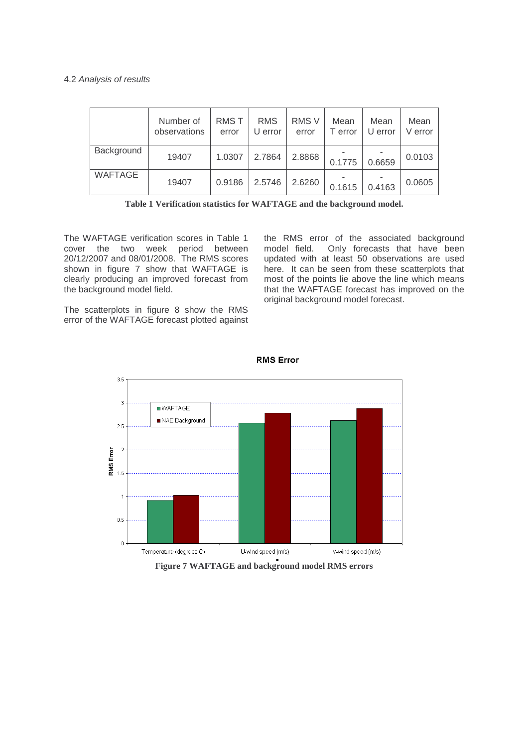### 4.2 Analysis of results

|            | Number of<br>observations | <b>RMST</b><br>error | <b>RMS</b><br>U error | <b>RMS V</b><br>error | Mean<br>T error | Mean<br>U error | Mean<br>V error |
|------------|---------------------------|----------------------|-----------------------|-----------------------|-----------------|-----------------|-----------------|
| Background | 19407                     | 1.0307               | 2.7864                | 2.8868                | 0.1775          | 0.6659          | 0.0103          |
| WAFTAGE    | 19407                     | 0.9186               | 2.5746                | 2.6260                | 0.1615          | 0.4163          | 0.0605          |

**Table 1 Verification statistics for WAFTAGE and the background model.**

The WAFTAGE verification scores in Table 1 cover the two week period between 20/12/2007 and 08/01/2008. The RMS scores shown in figure 7 show that WAFTAGE is clearly producing an improved forecast from the background model field.

the RMS error of the associated background model field. Only forecasts that have been updated with at least 50 observations are used here. It can be seen from these scatterplots that most of the points lie above the line which means that the WAFTAGE forecast has improved on the original background model forecast.

The scatterplots in figure 8 show the RMS error of the WAFTAGE forecast plotted against



**RMS Error** 

**Figure 7 WAFTAGE and background model RMS errors**